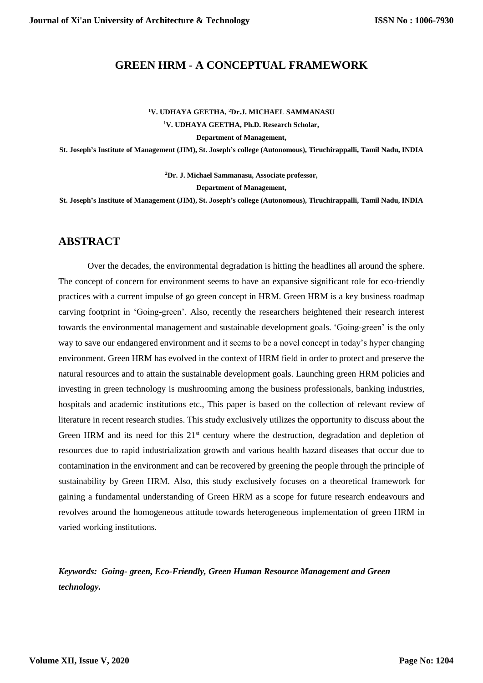#### **GREEN HRM - A CONCEPTUAL FRAMEWORK**

## **<sup>1</sup>V. UDHAYA GEETHA, <sup>2</sup>Dr.J. MICHAEL SAMMANASU**

**<sup>1</sup>V. UDHAYA GEETHA, Ph.D. Research Scholar,**

**Department of Management,**

**St. Joseph's Institute of Management (JIM), St. Joseph's college (Autonomous), Tiruchirappalli, Tamil Nadu, INDIA**

**<sup>2</sup>Dr. J. Michael Sammanasu, Associate professor,**

**Department of Management,**

**St. Joseph's Institute of Management (JIM), St. Joseph's college (Autonomous), Tiruchirappalli, Tamil Nadu, INDIA**

## **ABSTRACT**

Over the decades, the environmental degradation is hitting the headlines all around the sphere. The concept of concern for environment seems to have an expansive significant role for eco-friendly practices with a current impulse of go green concept in HRM. Green HRM is a key business roadmap carving footprint in 'Going-green'. Also, recently the researchers heightened their research interest towards the environmental management and sustainable development goals. 'Going-green' is the only way to save our endangered environment and it seems to be a novel concept in today's hyper changing environment. Green HRM has evolved in the context of HRM field in order to protect and preserve the natural resources and to attain the sustainable development goals. Launching green HRM policies and investing in green technology is mushrooming among the business professionals, banking industries, hospitals and academic institutions etc., This paper is based on the collection of relevant review of literature in recent research studies. This study exclusively utilizes the opportunity to discuss about the Green HRM and its need for this 21<sup>st</sup> century where the destruction, degradation and depletion of resources due to rapid industrialization growth and various health hazard diseases that occur due to contamination in the environment and can be recovered by greening the people through the principle of sustainability by Green HRM. Also, this study exclusively focuses on a theoretical framework for gaining a fundamental understanding of Green HRM as a scope for future research endeavours and revolves around the homogeneous attitude towards heterogeneous implementation of green HRM in varied working institutions.

*Keywords: Going- green, Eco-Friendly, Green Human Resource Management and Green technology.*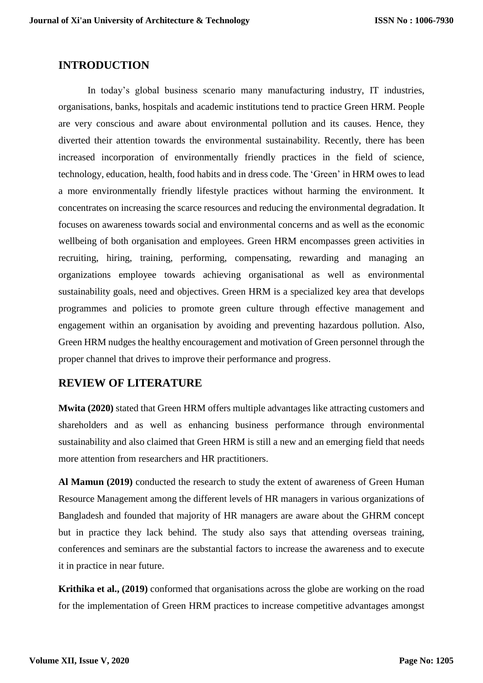## **INTRODUCTION**

In today's global business scenario many manufacturing industry, IT industries, organisations, banks, hospitals and academic institutions tend to practice Green HRM. People are very conscious and aware about environmental pollution and its causes. Hence, they diverted their attention towards the environmental sustainability. Recently, there has been increased incorporation of environmentally friendly practices in the field of science, technology, education, health, food habits and in dress code. The 'Green' in HRM owes to lead a more environmentally friendly lifestyle practices without harming the environment. It concentrates on increasing the scarce resources and reducing the environmental degradation. It focuses on awareness towards social and environmental concerns and as well as the economic wellbeing of both organisation and employees. Green HRM encompasses green activities in recruiting, hiring, training, performing, compensating, rewarding and managing an organizations employee towards achieving organisational as well as environmental sustainability goals, need and objectives. Green HRM is a specialized key area that develops programmes and policies to promote green culture through effective management and engagement within an organisation by avoiding and preventing hazardous pollution. Also, Green HRM nudges the healthy encouragement and motivation of Green personnel through the proper channel that drives to improve their performance and progress.

## **REVIEW OF LITERATURE**

**Mwita (2020)** stated that Green HRM offers multiple advantages like attracting customers and shareholders and as well as enhancing business performance through environmental sustainability and also claimed that Green HRM is still a new and an emerging field that needs more attention from researchers and HR practitioners.

**Al Mamun (2019)** conducted the research to study the extent of awareness of Green Human Resource Management among the different levels of HR managers in various organizations of Bangladesh and founded that majority of HR managers are aware about the GHRM concept but in practice they lack behind. The study also says that attending overseas training, conferences and seminars are the substantial factors to increase the awareness and to execute it in practice in near future.

**Krithika et al., (2019)** conformed that organisations across the globe are working on the road for the implementation of Green HRM practices to increase competitive advantages amongst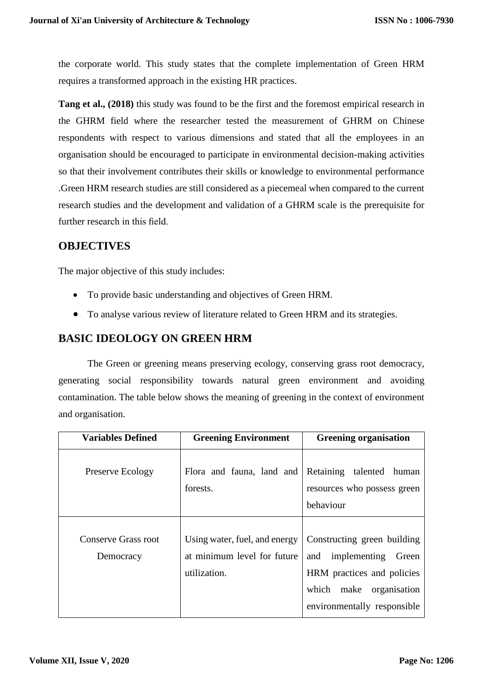the corporate world. This study states that the complete implementation of Green HRM requires a transformed approach in the existing HR practices.

**Tang et al., (2018)** this study was found to be the first and the foremost empirical research in the GHRM field where the researcher tested the measurement of GHRM on Chinese respondents with respect to various dimensions and stated that all the employees in an organisation should be encouraged to participate in environmental decision-making activities so that their involvement contributes their skills or knowledge to environmental performance .Green HRM research studies are still considered as a piecemeal when compared to the current research studies and the development and validation of a GHRM scale is the prerequisite for further research in this field.

## **OBJECTIVES**

The major objective of this study includes:

- To provide basic understanding and objectives of Green HRM.
- To analyse various review of literature related to Green HRM and its strategies.

# **BASIC IDEOLOGY ON GREEN HRM**

The Green or greening means preserving ecology, conserving grass root democracy, generating social responsibility towards natural green environment and avoiding contamination. The table below shows the meaning of greening in the context of environment and organisation.

| <b>Variables Defined</b>         | <b>Greening Environment</b>                                                  | <b>Greening organisation</b>                                                                                                                              |
|----------------------------------|------------------------------------------------------------------------------|-----------------------------------------------------------------------------------------------------------------------------------------------------------|
| Preserve Ecology                 | Flora and fauna, land and<br>forests.                                        | Retaining<br>talented human<br>resources who possess green<br>behaviour                                                                                   |
| Conserve Grass root<br>Democracy | Using water, fuel, and energy<br>at minimum level for future<br>utilization. | Constructing green building<br>implementing<br>and<br>Green<br>HRM practices and policies<br>which<br>make<br>organisation<br>environmentally responsible |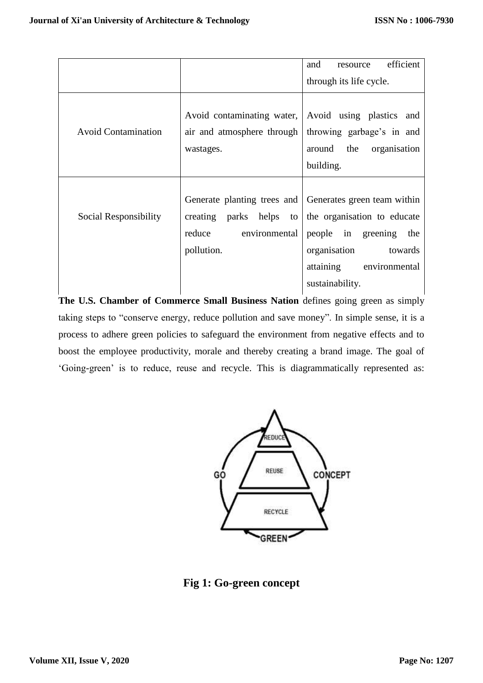|                            |                                                                                                    | efficient<br>and<br>resource                                                                                                   |
|----------------------------|----------------------------------------------------------------------------------------------------|--------------------------------------------------------------------------------------------------------------------------------|
|                            |                                                                                                    | through its life cycle.                                                                                                        |
| <b>Avoid Contamination</b> | air and atmosphere through  <br>wastages.                                                          | Avoid contaminating water, Avoid using plastics and<br>throwing garbage's in and<br>organisation<br>the<br>around<br>building. |
| Social Responsibility      | Generate planting trees and<br>creating<br>parks helps to<br>environmental<br>reduce<br>pollution. | Generates green team within<br>the organisation to educate<br>people in greening<br>the<br>organisation<br>towards             |
|                            |                                                                                                    | attaining<br>environmental<br>sustainability.                                                                                  |

**The U.S. Chamber of Commerce Small Business Nation** defines going green as simply taking steps to "conserve energy, reduce pollution and save money". In simple sense, it is a process to adhere green policies to safeguard the environment from negative effects and to boost the employee productivity, morale and thereby creating a brand image. The goal of 'Going-green' is to reduce, reuse and recycle. This is diagrammatically represented as:



**Fig 1: Go-green concept**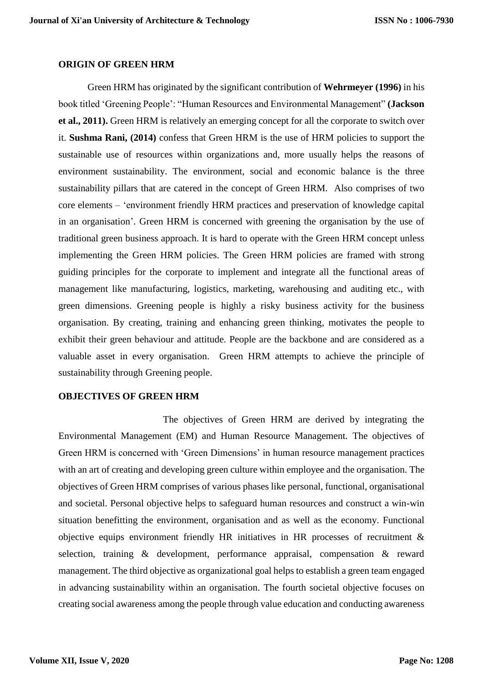#### **ORIGIN OF GREEN HRM**

Green HRM has originated by the significant contribution of **Wehrmeyer (1996)** in his book titled 'Greening People': "Human Resources and Environmental Management" **(Jackson et al., 2011).** Green HRM is relatively an emerging concept for all the corporate to switch over it. **Sushma Rani, (2014)** confess that Green HRM is the use of HRM policies to support the sustainable use of resources within organizations and, more usually helps the reasons of environment sustainability. The environment, social and economic balance is the three sustainability pillars that are catered in the concept of Green HRM. Also comprises of two core elements – 'environment friendly HRM practices and preservation of knowledge capital in an organisation'. Green HRM is concerned with greening the organisation by the use of traditional green business approach. It is hard to operate with the Green HRM concept unless implementing the Green HRM policies. The Green HRM policies are framed with strong guiding principles for the corporate to implement and integrate all the functional areas of management like manufacturing, logistics, marketing, warehousing and auditing etc., with green dimensions. Greening people is highly a risky business activity for the business organisation. By creating, training and enhancing green thinking, motivates the people to exhibit their green behaviour and attitude. People are the backbone and are considered as a valuable asset in every organisation. Green HRM attempts to achieve the principle of sustainability through Greening people.

#### **OBJECTIVES OF GREEN HRM**

 The objectives of Green HRM are derived by integrating the Environmental Management (EM) and Human Resource Management. The objectives of Green HRM is concerned with 'Green Dimensions' in human resource management practices with an art of creating and developing green culture within employee and the organisation. The objectives of Green HRM comprises of various phases like personal, functional, organisational and societal. Personal objective helps to safeguard human resources and construct a win-win situation benefitting the environment, organisation and as well as the economy. Functional objective equips environment friendly HR initiatives in HR processes of recruitment & selection, training & development, performance appraisal, compensation & reward management. The third objective as organizational goal helps to establish a green team engaged in advancing sustainability within an organisation. The fourth societal objective focuses on creating social awareness among the people through value education and conducting awareness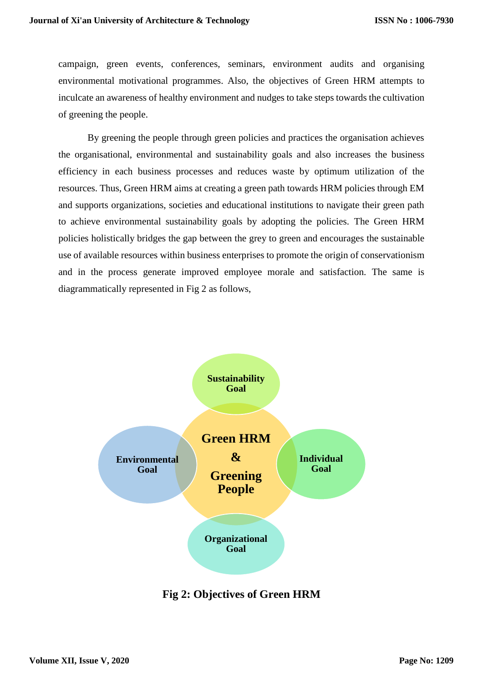campaign, green events, conferences, seminars, environment audits and organising environmental motivational programmes. Also, the objectives of Green HRM attempts to inculcate an awareness of healthy environment and nudges to take steps towards the cultivation of greening the people.

By greening the people through green policies and practices the organisation achieves the organisational, environmental and sustainability goals and also increases the business efficiency in each business processes and reduces waste by optimum utilization of the resources. Thus, Green HRM aims at creating a green path towards HRM policies through EM and supports organizations, societies and educational institutions to navigate their green path to achieve environmental sustainability goals by adopting the policies. The Green HRM policies holistically bridges the gap between the grey to green and encourages the sustainable use of available resources within business enterprises to promote the origin of conservationism and in the process generate improved employee morale and satisfaction. The same is diagrammatically represented in Fig 2 as follows,



**Fig 2: Objectives of Green HRM**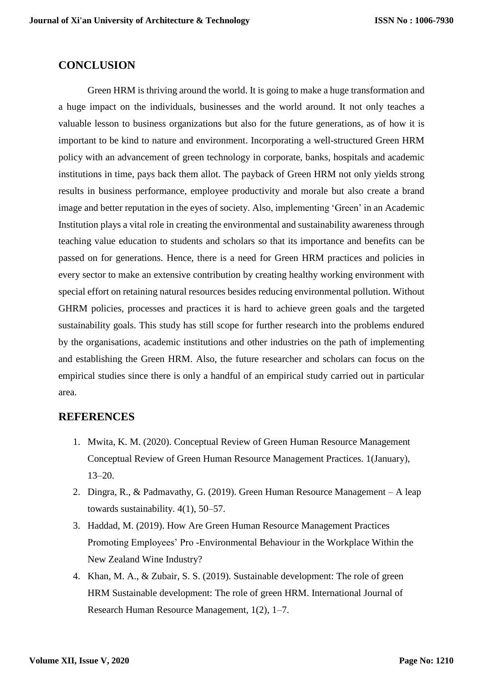## **CONCLUSION**

Green HRM is thriving around the world. It is going to make a huge transformation and a huge impact on the individuals, businesses and the world around. It not only teaches a valuable lesson to business organizations but also for the future generations, as of how it is important to be kind to nature and environment. Incorporating a well-structured Green HRM policy with an advancement of green technology in corporate, banks, hospitals and academic institutions in time, pays back them allot. The payback of Green HRM not only yields strong results in business performance, employee productivity and morale but also create a brand image and better reputation in the eyes of society. Also, implementing 'Green' in an Academic Institution plays a vital role in creating the environmental and sustainability awareness through teaching value education to students and scholars so that its importance and benefits can be passed on for generations. Hence, there is a need for Green HRM practices and policies in every sector to make an extensive contribution by creating healthy working environment with special effort on retaining natural resources besides reducing environmental pollution. Without GHRM policies, processes and practices it is hard to achieve green goals and the targeted sustainability goals. This study has still scope for further research into the problems endured by the organisations, academic institutions and other industries on the path of implementing and establishing the Green HRM. Also, the future researcher and scholars can focus on the empirical studies since there is only a handful of an empirical study carried out in particular area.

#### **REFERENCES**

- 1. Mwita, K. M. (2020). Conceptual Review of Green Human Resource Management Conceptual Review of Green Human Resource Management Practices. 1(January), 13–20.
- 2. Dingra, R., & Padmavathy, G. (2019). Green Human Resource Management A leap towards sustainability. 4(1), 50–57.
- 3. Haddad, M. (2019). How Are Green Human Resource Management Practices Promoting Employees' Pro -Environmental Behaviour in the Workplace Within the New Zealand Wine Industry?
- 4. Khan, M. A., & Zubair, S. S. (2019). Sustainable development: The role of green HRM Sustainable development: The role of green HRM. International Journal of Research Human Resource Management, 1(2), 1–7.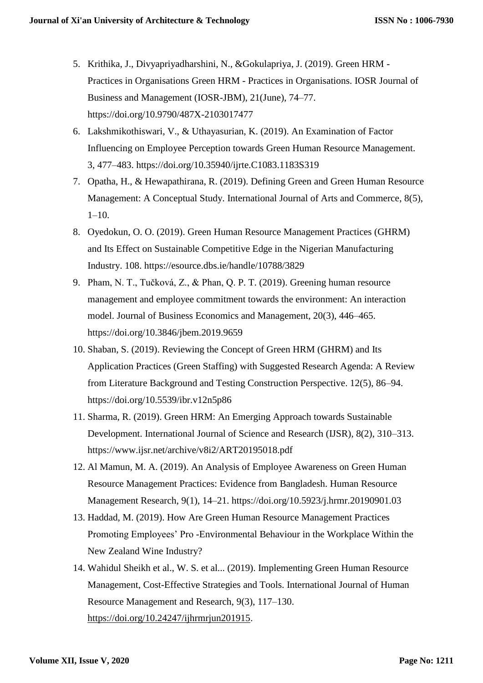- 5. Krithika, J., Divyapriyadharshini, N., &Gokulapriya, J. (2019). Green HRM Practices in Organisations Green HRM - Practices in Organisations. IOSR Journal of Business and Management (IOSR-JBM), 21(June), 74–77. https://doi.org/10.9790/487X-2103017477
- 6. Lakshmikothiswari, V., & Uthayasurian, K. (2019). An Examination of Factor Influencing on Employee Perception towards Green Human Resource Management. 3, 477–483. https://doi.org/10.35940/ijrte.C1083.1183S319
- 7. Opatha, H., & Hewapathirana, R. (2019). Defining Green and Green Human Resource Management: A Conceptual Study. International Journal of Arts and Commerce, 8(5), 1–10.
- 8. Oyedokun, O. O. (2019). Green Human Resource Management Practices (GHRM) and Its Effect on Sustainable Competitive Edge in the Nigerian Manufacturing Industry. 108. https://esource.dbs.ie/handle/10788/3829
- 9. Pham, N. T., Tučková, Z., & Phan, Q. P. T. (2019). Greening human resource management and employee commitment towards the environment: An interaction model. Journal of Business Economics and Management, 20(3), 446–465. https://doi.org/10.3846/jbem.2019.9659
- 10. Shaban, S. (2019). Reviewing the Concept of Green HRM (GHRM) and Its Application Practices (Green Staffing) with Suggested Research Agenda: A Review from Literature Background and Testing Construction Perspective. 12(5), 86–94. https://doi.org/10.5539/ibr.v12n5p86
- 11. Sharma, R. (2019). Green HRM: An Emerging Approach towards Sustainable Development. International Journal of Science and Research (IJSR), 8(2), 310–313. https://www.ijsr.net/archive/v8i2/ART20195018.pdf
- 12. Al Mamun, M. A. (2019). An Analysis of Employee Awareness on Green Human Resource Management Practices: Evidence from Bangladesh. Human Resource Management Research, 9(1), 14–21. https://doi.org/10.5923/j.hrmr.20190901.03
- 13. Haddad, M. (2019). How Are Green Human Resource Management Practices Promoting Employees' Pro -Environmental Behaviour in the Workplace Within the New Zealand Wine Industry?
- 14. Wahidul Sheikh et al., W. S. et al... (2019). Implementing Green Human Resource Management, Cost-Effective Strategies and Tools. International Journal of Human Resource Management and Research, 9(3), 117–130. [https://doi.org/10.24247/ijhrmrjun201915.](https://doi.org/10.24247/ijhrmrjun201915)